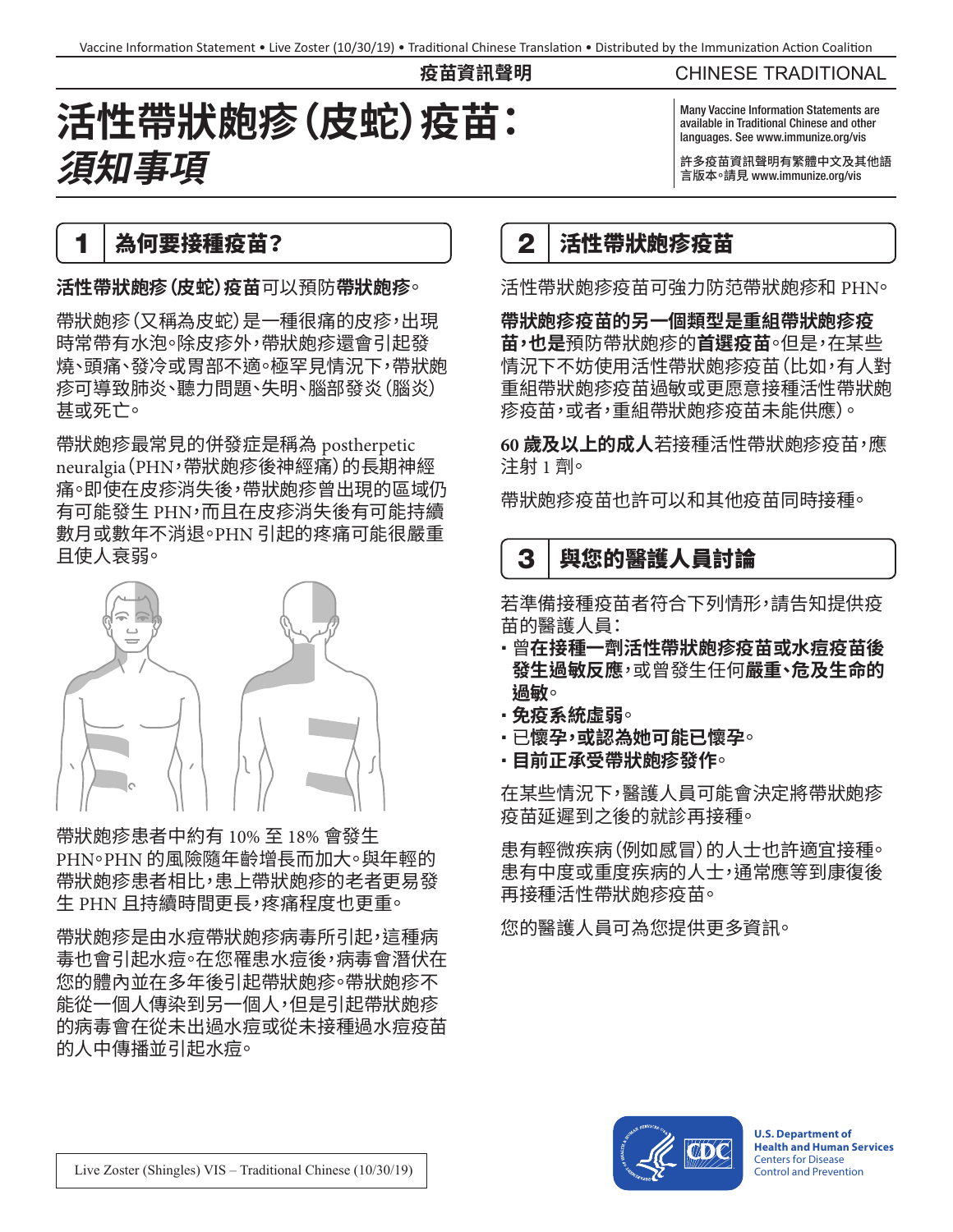**疫苗資訊聲明**

# **活性帶狀皰疹(皮蛇)疫苗: 須知事項**

#### CHINESE TRADITIONAL

Many Vaccine Information Statements are available in Traditional Chinese and other languages. See www.immunize.org/vis

許多疫苗資訊聲明有繁體中文及其他語 言版本。請見 [www.immunize.org/vis](http://www.immunize.org/vis)

### 1 為何要接種疫苗?

**活性帶狀皰疹(皮蛇)疫苗**可以預防**帶狀皰疹**。

帶狀皰疹(又稱為皮蛇)是一種很痛的皮疹,出現 時常帶有水泡。除皮疹外,帶狀皰疹還會引起發 燒、頭痛、發冷或胃部不適。極罕見情況下,帶狀皰 疹可導致肺炎、聽力問題、失明、腦部發炎(腦炎) 甚或死亡。

帶狀皰疹最常見的併發症是稱為 postherpetic neuralgia(PHN,帶狀皰疹後神經痛)的長期神經 痛。即使在皮疹消失後,帶狀皰疹曾出現的區域仍 有可能發生 PHN,而且在皮疹消失後有可能持續 數月或數年不消退。PHN 引起的疼痛可能很嚴重 且使人衰弱。



帶狀皰疹患者中約有 10% 至 18% 會發生 PHN。PHN 的風險隨年齡增長而加大。與年輕的 帶狀皰疹患者相比,患上帶狀皰疹的老者更易發 生 PHN 且持續時間更長,疼痛程度也更重。

帶狀皰疹是由水痘帶狀皰疹病毒所引起,這種病 毒也會引起水痘。在您罹患水痘後,病毒會潛伏在 您的體內並在多年後引起帶狀皰疹。帶狀皰疹不 能從一個人傳染到另一個人,但是引起帶狀皰疹 的病毒會在從未出過水痘或從未接種過水痘疫苗 的人中傳播並引起水痘。

### 2 法性帶狀皰疹疫苗

活性帶狀皰疹疫苗可強力防范帶狀皰疹和 PHN。

**帶狀皰疹疫苗的另一個類型是重組帶狀皰疹疫 苗,也是**預防帶狀皰疹的**首選疫苗**。但是,在某些 情況下不妨使用活性帶狀皰疹疫苗(比如,有人對 重組帶狀皰疹疫苗過敏或更愿意接種活性帶狀皰 疹疫苗,或者,重組帶狀皰疹疫苗未能供應)。

**60 歲及以上的成人**若接種活性帶狀皰疹疫苗,應 注射 1 劑。

帶狀皰疹疫苗也許可以和其他疫苗同時接種。

## 3 | 與您的醫護人員討論

若準備接種疫苗者符合下列情形,請告知提供疫 苗的醫護人員:

- 曾**在接種一劑活性帶狀皰疹疫苗或水痘疫苗後 發生過敏反應**,或曾發生任何**嚴重、危及生命的 過敏**。
- **免疫系統虛弱**。
- 已**懷孕,或認為她可能已懷孕**。
- **目前正承受帶狀皰疹發作**。

在某些情況下,醫護人員可能會決定將帶狀皰疹 疫苗延遲到之後的就診再接種。

患有輕微疾病(例如感冒)的人士也許適宜接種。 患有中度或重度疾病的人士,通常應等到康復後 再接種活性帶狀皰疹疫苗。

您的醫護人員可為您提供更多資訊。



**U.S. Department of Health and Human Services**  Centers for Disease Control and Prevention